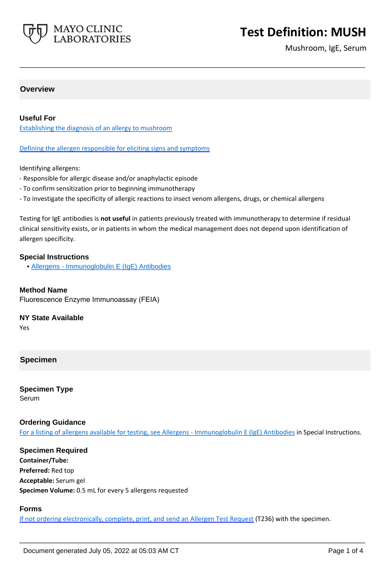

# **Test Definition: MUSH**

Mushroom, IgE, Serum

## **Overview**

### **Useful For**

Establishing the diagnosis of an allergy to mushroom

Defining the allergen responsible for eliciting signs and symptoms

Identifying allergens:

- Responsible for allergic disease and/or anaphylactic episode
- To confirm sensitization prior to beginning immunotherapy
- To investigate the specificity of allergic reactions to insect venom allergens, drugs, or chemical allergens

Testing for IgE antibodies is **not useful** in patients previously treated with immunotherapy to determine if residual clinical sensitivity exists, or in patients in whom the medical management does not depend upon identification of allergen specificity.

**\_\_\_\_\_\_\_\_\_\_\_\_\_\_\_\_\_\_\_\_\_\_\_\_\_\_\_\_\_\_\_\_\_\_\_\_\_\_\_\_\_\_\_\_\_\_\_\_\_\_\_**

#### **Special Instructions**

• [Allergens - Immunoglobulin E \(IgE\) Antibodies](https://www.mayocliniclabs.com/it-mmfiles/Allergens-IgE_Antibodies.pdf)

#### **Method Name**

Fluorescence Enzyme Immunoassay (FEIA)

#### **NY State Available**

Yes

#### **Specimen**

**Specimen Type** Serum

#### **Ordering Guidance**

For a listing of allergens available for testing, see [Allergens - Immunoglobulin E \(IgE\) Antibodies](https://www.mayocliniclabs.com/it-mmfiles/Allergens-IgE_Antibodies.pdf) in Special Instructions.

**Specimen Required Container/Tube: Preferred:** Red top **Acceptable:** Serum gel **Specimen Volume:** 0.5 mL for every 5 allergens requested

#### **Forms**

If not ordering electronically, complete, print, and send an [Allergen Test Request](https://www.mayocliniclabs.com/it-mmfiles/allergen-test-request-form.pdf) (T236) with the specimen.

**\_\_\_\_\_\_\_\_\_\_\_\_\_\_\_\_\_\_\_\_\_\_\_\_\_\_\_\_\_\_\_\_\_\_\_\_\_\_\_\_\_\_\_\_\_\_\_\_\_\_\_**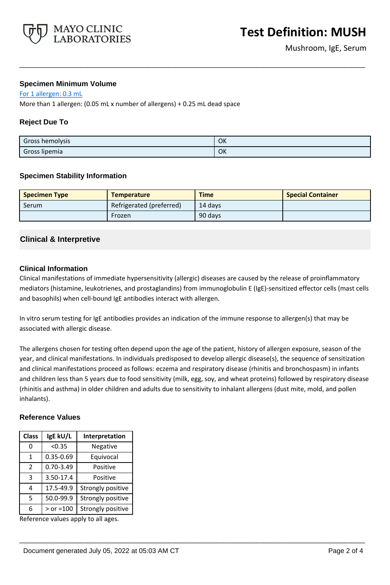

## **Specimen Minimum Volume**

For 1 allergen: 0.3 mL

More than 1 allergen: (0.05 mL x number of allergens) + 0.25 mL dead space

# **Reject Due To**

| Gross hemolysis | OK |
|-----------------|----|
| Gross lipemia   | OK |

**\_\_\_\_\_\_\_\_\_\_\_\_\_\_\_\_\_\_\_\_\_\_\_\_\_\_\_\_\_\_\_\_\_\_\_\_\_\_\_\_\_\_\_\_\_\_\_\_\_\_\_**

### **Specimen Stability Information**

| <b>Specimen Type</b> | <b>Temperature</b>       | <b>Time</b> | <b>Special Container</b> |
|----------------------|--------------------------|-------------|--------------------------|
| Serum                | Refrigerated (preferred) | 14 days     |                          |
|                      | Frozen                   | 90 days     |                          |

# **Clinical & Interpretive**

### **Clinical Information**

Clinical manifestations of immediate hypersensitivity (allergic) diseases are caused by the release of proinflammatory mediators (histamine, leukotrienes, and prostaglandins) from immunoglobulin E (IgE)-sensitized effector cells (mast cells and basophils) when cell-bound IgE antibodies interact with allergen.

In vitro serum testing for IgE antibodies provides an indication of the immune response to allergen(s) that may be associated with allergic disease.

The allergens chosen for testing often depend upon the age of the patient, history of allergen exposure, season of the year, and clinical manifestations. In individuals predisposed to develop allergic disease(s), the sequence of sensitization and clinical manifestations proceed as follows: eczema and respiratory disease (rhinitis and bronchospasm) in infants and children less than 5 years due to food sensitivity (milk, egg, soy, and wheat proteins) followed by respiratory disease (rhinitis and asthma) in older children and adults due to sensitivity to inhalant allergens (dust mite, mold, and pollen inhalants).

**\_\_\_\_\_\_\_\_\_\_\_\_\_\_\_\_\_\_\_\_\_\_\_\_\_\_\_\_\_\_\_\_\_\_\_\_\_\_\_\_\_\_\_\_\_\_\_\_\_\_\_**

### **Reference Values**

| <b>Class</b>  | IgE kU/L      | Interpretation    |
|---------------|---------------|-------------------|
| ი             | < 0.35        | Negative          |
| 1             | $0.35 - 0.69$ | Equivocal         |
| $\mathcal{P}$ | $0.70 - 3.49$ | Positive          |
| 3             | 3.50-17.4     | Positive          |
| 4             | 17.5-49.9     | Strongly positive |
| 5             | 50.0-99.9     | Strongly positive |
| 6             | $>$ or =100   | Strongly positive |

Reference values apply to all ages.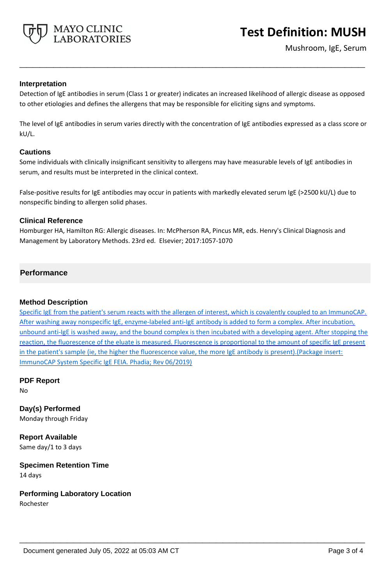

# **Interpretation**

Detection of IgE antibodies in serum (Class 1 or greater) indicates an increased likelihood of allergic disease as opposed to other etiologies and defines the allergens that may be responsible for eliciting signs and symptoms.

**\_\_\_\_\_\_\_\_\_\_\_\_\_\_\_\_\_\_\_\_\_\_\_\_\_\_\_\_\_\_\_\_\_\_\_\_\_\_\_\_\_\_\_\_\_\_\_\_\_\_\_**

The level of IgE antibodies in serum varies directly with the concentration of IgE antibodies expressed as a class score or kU/L.

### **Cautions**

Some individuals with clinically insignificant sensitivity to allergens may have measurable levels of IgE antibodies in serum, and results must be interpreted in the clinical context.

False-positive results for IgE antibodies may occur in patients with markedly elevated serum IgE (>2500 kU/L) due to nonspecific binding to allergen solid phases.

### **Clinical Reference**

Homburger HA, Hamilton RG: Allergic diseases. In: McPherson RA, Pincus MR, eds. Henry's Clinical Diagnosis and Management by Laboratory Methods. 23rd ed. Elsevier; 2017:1057-1070

# **Performance**

### **Method Description**

Specific IgE from the patient's serum reacts with the allergen of interest, which is covalently coupled to an ImmunoCAP. After washing away nonspecific IgE, enzyme-labeled anti-IgE antibody is added to form a complex. After incubation, unbound anti-IgE is washed away, and the bound complex is then incubated with a developing agent. After stopping the reaction, the fluorescence of the eluate is measured. Fluorescence is proportional to the amount of specific IgE present in the patient's sample (ie, the higher the fluorescence value, the more IgE antibody is present).(Package insert: ImmunoCAP System Specific IgE FEIA. Phadia; Rev 06/2019)

**\_\_\_\_\_\_\_\_\_\_\_\_\_\_\_\_\_\_\_\_\_\_\_\_\_\_\_\_\_\_\_\_\_\_\_\_\_\_\_\_\_\_\_\_\_\_\_\_\_\_\_**

**PDF Report** No

**Day(s) Performed** Monday through Friday

**Report Available** Same day/1 to 3 days

**Specimen Retention Time** 14 days

**Performing Laboratory Location**

Rochester